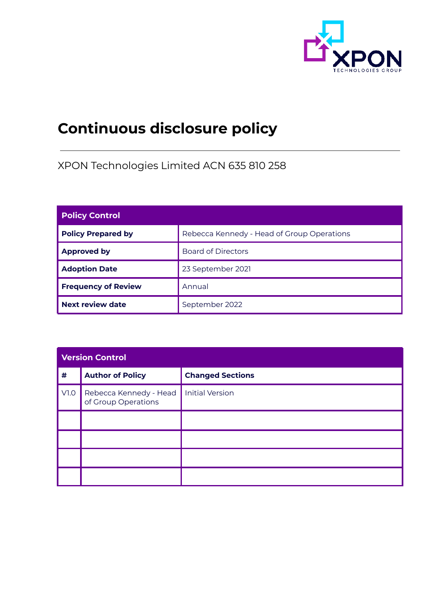

# **Continuous disclosure policy**

XPON Technologies Limited ACN 635 810 258

| <b>Policy Control</b>      |                                            |  |
|----------------------------|--------------------------------------------|--|
| <b>Policy Prepared by</b>  | Rebecca Kennedy - Head of Group Operations |  |
| <b>Approved by</b>         | <b>Board of Directors</b>                  |  |
| <b>Adoption Date</b>       | 23 September 2021                          |  |
| <b>Frequency of Review</b> | Annual                                     |  |
| <b>Next review date</b>    | September 2022                             |  |

| <b>Version Control</b> |                                               |                         |  |
|------------------------|-----------------------------------------------|-------------------------|--|
| $\pmb{\#}$             | <b>Author of Policy</b>                       | <b>Changed Sections</b> |  |
| V1.0                   | Rebecca Kennedy - Head<br>of Group Operations | <b>Initial Version</b>  |  |
|                        |                                               |                         |  |
|                        |                                               |                         |  |
|                        |                                               |                         |  |
|                        |                                               |                         |  |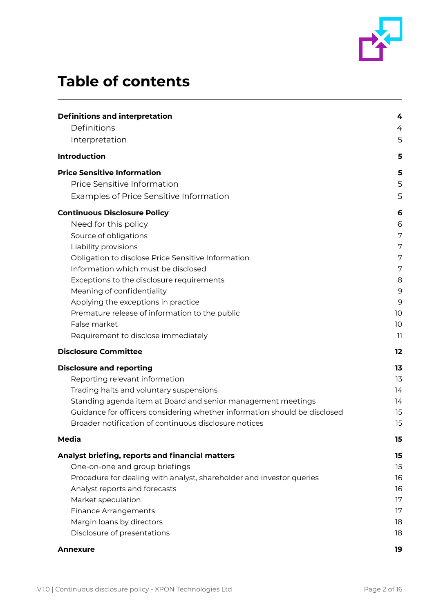

## **Table of contents**

| <b>Definitions and interpretation</b>                                     | 4  |
|---------------------------------------------------------------------------|----|
| Definitions                                                               | 4  |
| Interpretation                                                            | 5  |
| <b>Introduction</b>                                                       | 5  |
| <b>Price Sensitive Information</b>                                        | 5  |
| Price Sensitive Information                                               | 5  |
| Examples of Price Sensitive Information                                   | 5  |
| <b>Continuous Disclosure Policy</b>                                       | 6  |
| Need for this policy                                                      | 6  |
| Source of obligations                                                     | 7  |
| Liability provisions                                                      | 7  |
| Obligation to disclose Price Sensitive Information                        | 7  |
| Information which must be disclosed                                       | 7  |
| Exceptions to the disclosure requirements                                 | 8  |
| Meaning of confidentiality                                                | 9  |
| Applying the exceptions in practice                                       | 9  |
| Premature release of information to the public                            | 10 |
| False market                                                              | 10 |
| Requirement to disclose immediately                                       | 11 |
| <b>Disclosure Committee</b>                                               | 12 |
| <b>Disclosure and reporting</b>                                           | 13 |
| Reporting relevant information                                            | 13 |
| Trading halts and voluntary suspensions                                   | 14 |
| Standing agenda item at Board and senior management meetings              | 14 |
| Guidance for officers considering whether information should be disclosed | 15 |
| Broader notification of continuous disclosure notices                     | 15 |
| <b>Media</b>                                                              | 15 |
| Analyst briefing, reports and financial matters                           | 15 |
| One-on-one and group briefings                                            | 15 |
| Procedure for dealing with analyst, shareholder and investor queries      | 16 |
| Analyst reports and forecasts                                             | 16 |
| Market speculation                                                        | 17 |
| <b>Finance Arrangements</b>                                               | 17 |
| Margin loans by directors                                                 | 18 |
| Disclosure of presentations                                               | 18 |
| Annexure                                                                  | 19 |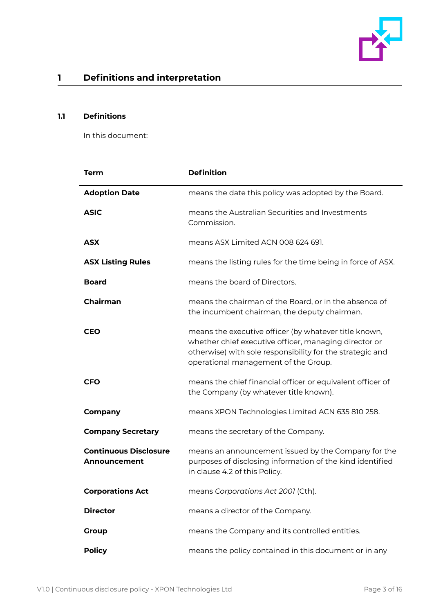

## <span id="page-2-0"></span>**1 Definitions and interpretation**

#### <span id="page-2-1"></span>**1.1 Definitions**

In this document:

| <b>Term</b>                                         | <b>Definition</b>                                                                                                                                                                                                   |
|-----------------------------------------------------|---------------------------------------------------------------------------------------------------------------------------------------------------------------------------------------------------------------------|
| <b>Adoption Date</b>                                | means the date this policy was adopted by the Board.                                                                                                                                                                |
| <b>ASIC</b>                                         | means the Australian Securities and Investments<br>Commission.                                                                                                                                                      |
| <b>ASX</b>                                          | means ASX Limited ACN 008 624 691.                                                                                                                                                                                  |
| <b>ASX Listing Rules</b>                            | means the listing rules for the time being in force of ASX.                                                                                                                                                         |
| <b>Board</b>                                        | means the board of Directors.                                                                                                                                                                                       |
| <b>Chairman</b>                                     | means the chairman of the Board, or in the absence of<br>the incumbent chairman, the deputy chairman.                                                                                                               |
| CEO                                                 | means the executive officer (by whatever title known,<br>whether chief executive officer, managing director or<br>otherwise) with sole responsibility for the strategic and<br>operational management of the Group. |
| <b>CFO</b>                                          | means the chief financial officer or equivalent officer of<br>the Company (by whatever title known).                                                                                                                |
| Company                                             | means XPON Technologies Limited ACN 635 810 258.                                                                                                                                                                    |
| <b>Company Secretary</b>                            | means the secretary of the Company.                                                                                                                                                                                 |
| <b>Continuous Disclosure</b><br><b>Announcement</b> | means an announcement issued by the Company for the<br>purposes of disclosing information of the kind identified<br>in clause 4.2 of this Policy.                                                                   |
| <b>Corporations Act</b>                             | means Corporations Act 2001 (Cth).                                                                                                                                                                                  |
| <b>Director</b>                                     | means a director of the Company.                                                                                                                                                                                    |
| <b>Group</b>                                        | means the Company and its controlled entities.                                                                                                                                                                      |
| <b>Policy</b>                                       | means the policy contained in this document or in any                                                                                                                                                               |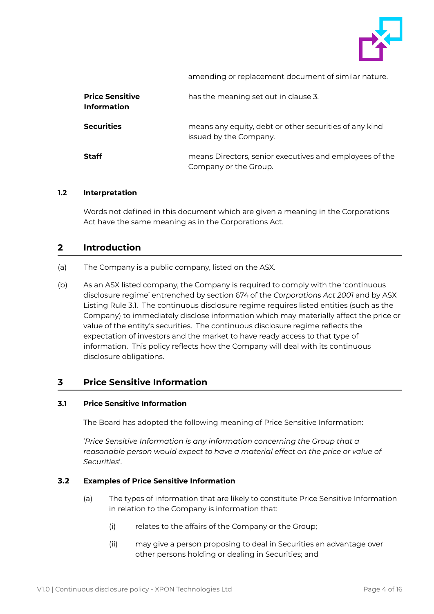

amending or replacement document of similar nature.

| <b>Price Sensitive</b><br><b>Information</b> | has the meaning set out in clause 3.                                             |
|----------------------------------------------|----------------------------------------------------------------------------------|
| <b>Securities</b>                            | means any equity, debt or other securities of any kind<br>issued by the Company. |
| <b>Staff</b>                                 | means Directors, senior executives and employees of the<br>Company or the Group. |

#### <span id="page-3-0"></span>**1.2 Interpretation**

Words not defined in this document which are given a meaning in the Corporations Act have the same meaning as in the Corporations Act.

#### <span id="page-3-1"></span>**2 Introduction**

- (a) The Company is a public company, listed on the ASX.
- (b) As an ASX listed company, the Company is required to comply with the 'continuous disclosure regime' entrenched by section 674 of the *Corporations Act 2001* and by ASX Listing Rule 3.1. The continuous disclosure regime requires listed entities (such as the Company) to immediately disclose information which may materially affect the price or value of the entity's securities. The continuous disclosure regime reflects the expectation of investors and the market to have ready access to that type of information. This policy reflects how the Company will deal with its continuous disclosure obligations.

## <span id="page-3-2"></span>**3 Price Sensitive Information**

#### <span id="page-3-3"></span>**3.1 Price Sensitive Information**

The Board has adopted the following meaning of Price Sensitive Information:

'*Price Sensitive Information is any information concerning the Group that a reasonable person would expect to have a material effect on the price or value of Securities*'.

#### <span id="page-3-4"></span>**3.2 Examples of Price Sensitive Information**

- (a) The types of information that are likely to constitute Price Sensitive Information in relation to the Company is information that:
	- (i) relates to the affairs of the Company or the Group;
	- (ii) may give a person proposing to deal in Securities an advantage over other persons holding or dealing in Securities; and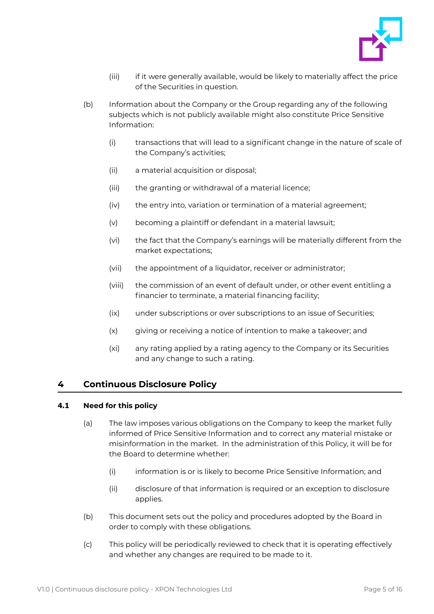

- (iii) if it were generally available, would be likely to materially affect the price of the Securities in question.
- (b) Information about the Company or the Group regarding any of the following subjects which is not publicly available might also constitute Price Sensitive Information:
	- (i) transactions that will lead to a significant change in the nature of scale of the Company's activities;
	- (ii) a material acquisition or disposal;
	- (iii) the granting or withdrawal of a material licence;
	- (iv) the entry into, variation or termination of a material agreement;
	- (v) becoming a plaintiff or defendant in a material lawsuit;
	- (vi) the fact that the Company's earnings will be materially different from the market expectations;
	- (vii) the appointment of a liquidator, receiver or administrator;
	- (viii) the commission of an event of default under, or other event entitling a financier to terminate, a material financing facility;
	- (ix) under subscriptions or over subscriptions to an issue of Securities;
	- (x) giving or receiving a notice of intention to make a takeover; and
	- (xi) any rating applied by a rating agency to the Company or its Securities and any change to such a rating.

#### <span id="page-4-0"></span>**4 Continuous Disclosure Policy**

#### <span id="page-4-1"></span>**4.1 Need for this policy**

- (a) The law imposes various obligations on the Company to keep the market fully informed of Price Sensitive Information and to correct any material mistake or misinformation in the market. In the administration of this Policy, it will be for the Board to determine whether:
	- (i) information is or is likely to become Price Sensitive Information; and
	- (ii) disclosure of that information is required or an exception to disclosure applies.
- (b) This document sets out the policy and procedures adopted by the Board in order to comply with these obligations.
- (c) This policy will be periodically reviewed to check that it is operating effectively and whether any changes are required to be made to it.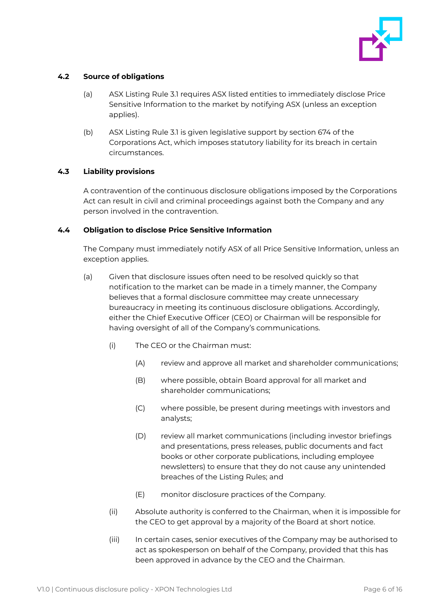

#### <span id="page-5-0"></span>**4.2 Source of obligations**

- (a) ASX Listing Rule 3.1 requires ASX listed entities to immediately disclose Price Sensitive Information to the market by notifying ASX (unless an exception applies).
- (b) ASX Listing Rule 3.1 is given legislative support by section 674 of the Corporations Act, which imposes statutory liability for its breach in certain circumstances.

#### <span id="page-5-1"></span>**4.3 Liability provisions**

A contravention of the continuous disclosure obligations imposed by the Corporations Act can result in civil and criminal proceedings against both the Company and any person involved in the contravention.

#### <span id="page-5-2"></span>**4.4 Obligation to disclose Price Sensitive Information**

The Company must immediately notify ASX of all Price Sensitive Information, unless an exception applies.

- (a) Given that disclosure issues often need to be resolved quickly so that notification to the market can be made in a timely manner, the Company believes that a formal disclosure committee may create unnecessary bureaucracy in meeting its continuous disclosure obligations. Accordingly, either the Chief Executive Officer (CEO) or Chairman will be responsible for having oversight of all of the Company's communications.
	- (i) The CEO or the Chairman must:
		- (A) review and approve all market and shareholder communications;
		- (B) where possible, obtain Board approval for all market and shareholder communications;
		- (C) where possible, be present during meetings with investors and analysts;
		- (D) review all market communications (including investor briefings and presentations, press releases, public documents and fact books or other corporate publications, including employee newsletters) to ensure that they do not cause any unintended breaches of the Listing Rules; and
		- (E) monitor disclosure practices of the Company.
	- (ii) Absolute authority is conferred to the Chairman, when it is impossible for the CEO to get approval by a majority of the Board at short notice.
	- (iii) In certain cases, senior executives of the Company may be authorised to act as spokesperson on behalf of the Company, provided that this has been approved in advance by the CEO and the Chairman.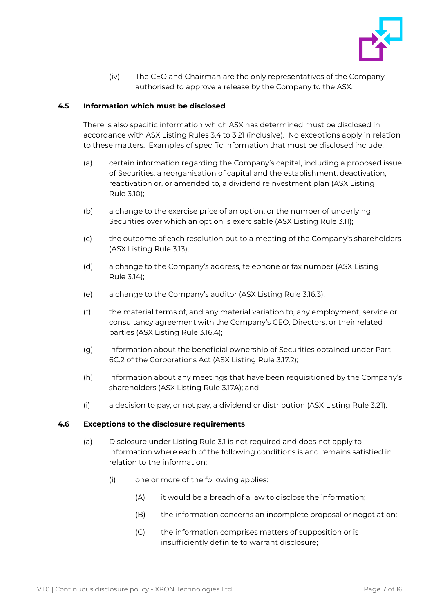

(iv) The CEO and Chairman are the only representatives of the Company authorised to approve a release by the Company to the ASX.

#### <span id="page-6-0"></span>**4.5 Information which must be disclosed**

There is also specific information which ASX has determined must be disclosed in accordance with ASX Listing Rules 3.4 to 3.21 (inclusive). No exceptions apply in relation to these matters. Examples of specific information that must be disclosed include:

- (a) certain information regarding the Company's capital, including a proposed issue of Securities, a reorganisation of capital and the establishment, deactivation, reactivation or, or amended to, a dividend reinvestment plan (ASX Listing Rule 3.10);
- (b) a change to the exercise price of an option, or the number of underlying Securities over which an option is exercisable (ASX Listing Rule 3.11);
- (c) the outcome of each resolution put to a meeting of the Company's shareholders (ASX Listing Rule 3.13);
- (d) a change to the Company's address, telephone or fax number (ASX Listing Rule 3.14);
- (e) a change to the Company's auditor (ASX Listing Rule 3.16.3);
- (f) the material terms of, and any material variation to, any employment, service or consultancy agreement with the Company's CEO, Directors, or their related parties (ASX Listing Rule 3.16.4);
- (g) information about the beneficial ownership of Securities obtained under Part 6C.2 of the Corporations Act (ASX Listing Rule 3.17.2);
- (h) information about any meetings that have been requisitioned by the Company's shareholders (ASX Listing Rule 3.17A); and
- (i) a decision to pay, or not pay, a dividend or distribution (ASX Listing Rule 3.21).

#### <span id="page-6-1"></span>**4.6 Exceptions to the disclosure requirements**

- (a) Disclosure under Listing Rule 3.1 is not required and does not apply to information where each of the following conditions is and remains satisfied in relation to the information:
	- (i) one or more of the following applies:
		- (A) it would be a breach of a law to disclose the information;
		- (B) the information concerns an incomplete proposal or negotiation;
		- (C) the information comprises matters of supposition or is insufficiently definite to warrant disclosure;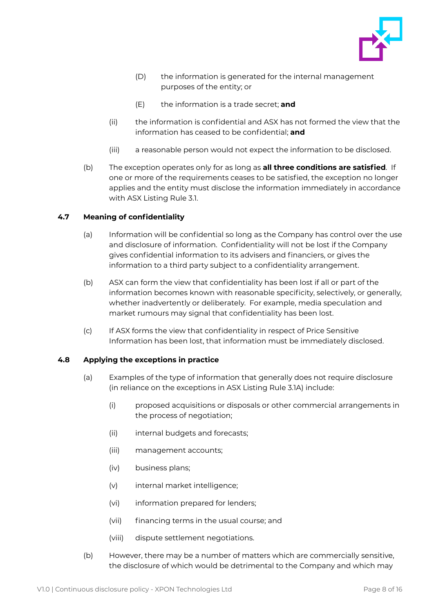

- (D) the information is generated for the internal management purposes of the entity; or
- (E) the information is a trade secret; **and**
- (ii) the information is confidential and ASX has not formed the view that the information has ceased to be confidential; **and**
- (iii) a reasonable person would not expect the information to be disclosed.
- (b) The exception operates only for as long as **all three conditions are satisfied**. If one or more of the requirements ceases to be satisfied, the exception no longer applies and the entity must disclose the information immediately in accordance with ASX Listing Rule 3.1.

### <span id="page-7-0"></span>**4.7 Meaning of confidentiality**

- (a) Information will be confidential so long as the Company has control over the use and disclosure of information. Confidentiality will not be lost if the Company gives confidential information to its advisers and financiers, or gives the information to a third party subject to a confidentiality arrangement.
- (b) ASX can form the view that confidentiality has been lost if all or part of the information becomes known with reasonable specificity, selectively, or generally, whether inadvertently or deliberately. For example, media speculation and market rumours may signal that confidentiality has been lost.
- (c) If ASX forms the view that confidentiality in respect of Price Sensitive Information has been lost, that information must be immediately disclosed.

#### <span id="page-7-1"></span>**4.8 Applying the exceptions in practice**

- (a) Examples of the type of information that generally does not require disclosure (in reliance on the exceptions in ASX Listing Rule 3.1A) include:
	- (i) proposed acquisitions or disposals or other commercial arrangements in the process of negotiation;
	- (ii) internal budgets and forecasts;
	- (iii) management accounts;
	- (iv) business plans;
	- (v) internal market intelligence;
	- (vi) information prepared for lenders;
	- (vii) financing terms in the usual course; and
	- (viii) dispute settlement negotiations.
- (b) However, there may be a number of matters which are commercially sensitive, the disclosure of which would be detrimental to the Company and which may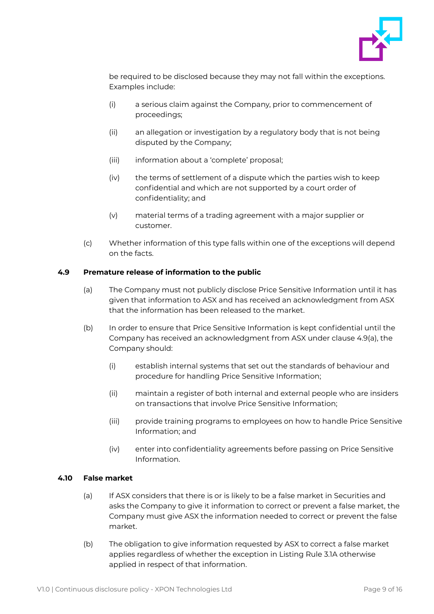

be required to be disclosed because they may not fall within the exceptions. Examples include:

- (i) a serious claim against the Company, prior to commencement of proceedings;
- (ii) an allegation or investigation by a regulatory body that is not being disputed by the Company;
- (iii) information about a 'complete' proposal;
- (iv) the terms of settlement of a dispute which the parties wish to keep confidential and which are not supported by a court order of confidentiality; and
- (v) material terms of a trading agreement with a major supplier or customer.
- (c) Whether information of this type falls within one of the exceptions will depend on the facts.

#### <span id="page-8-0"></span>**4.9 Premature release of information to the public**

- (a) The Company must not publicly disclose Price Sensitive Information until it has given that information to ASX and has received an acknowledgment from ASX that the information has been released to the market.
- (b) In order to ensure that Price Sensitive Information is kept confidential until the Company has received an acknowledgment from ASX under clause 4.9(a), the Company should:
	- (i) establish internal systems that set out the standards of behaviour and procedure for handling Price Sensitive Information;
	- (ii) maintain a register of both internal and external people who are insiders on transactions that involve Price Sensitive Information;
	- (iii) provide training programs to employees on how to handle Price Sensitive Information; and
	- (iv) enter into confidentiality agreements before passing on Price Sensitive Information.

#### <span id="page-8-1"></span>**4.10 False market**

- (a) If ASX considers that there is or is likely to be a false market in Securities and asks the Company to give it information to correct or prevent a false market, the Company must give ASX the information needed to correct or prevent the false market.
- (b) The obligation to give information requested by ASX to correct a false market applies regardless of whether the exception in Listing Rule 3.1A otherwise applied in respect of that information.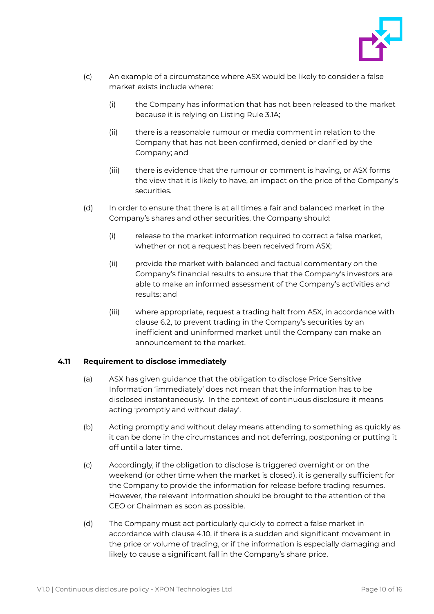

- (c) An example of a circumstance where ASX would be likely to consider a false market exists include where:
	- (i) the Company has information that has not been released to the market because it is relying on Listing Rule 3.1A;
	- (ii) there is a reasonable rumour or media comment in relation to the Company that has not been confirmed, denied or clarified by the Company; and
	- (iii) there is evidence that the rumour or comment is having, or ASX forms the view that it is likely to have, an impact on the price of the Company's securities.
- (d) In order to ensure that there is at all times a fair and balanced market in the Company's shares and other securities, the Company should:
	- (i) release to the market information required to correct a false market, whether or not a request has been received from ASX;
	- (ii) provide the market with balanced and factual commentary on the Company's financial results to ensure that the Company's investors are able to make an informed assessment of the Company's activities and results; and
	- (iii) where appropriate, request a trading halt from ASX, in accordance with clause 6.2, to prevent trading in the Company's securities by an inefficient and uninformed market until the Company can make an announcement to the market.

#### <span id="page-9-0"></span>**4.11 Requirement to disclose immediately**

- (a) ASX has given guidance that the obligation to disclose Price Sensitive Information 'immediately' does not mean that the information has to be disclosed instantaneously. In the context of continuous disclosure it means acting 'promptly and without delay'.
- (b) Acting promptly and without delay means attending to something as quickly as it can be done in the circumstances and not deferring, postponing or putting it off until a later time.
- (c) Accordingly, if the obligation to disclose is triggered overnight or on the weekend (or other time when the market is closed), it is generally sufficient for the Company to provide the information for release before trading resumes. However, the relevant information should be brought to the attention of the CEO or Chairman as soon as possible.
- (d) The Company must act particularly quickly to correct a false market in accordance with clause 4.10, if there is a sudden and significant movement in the price or volume of trading, or if the information is especially damaging and likely to cause a significant fall in the Company's share price.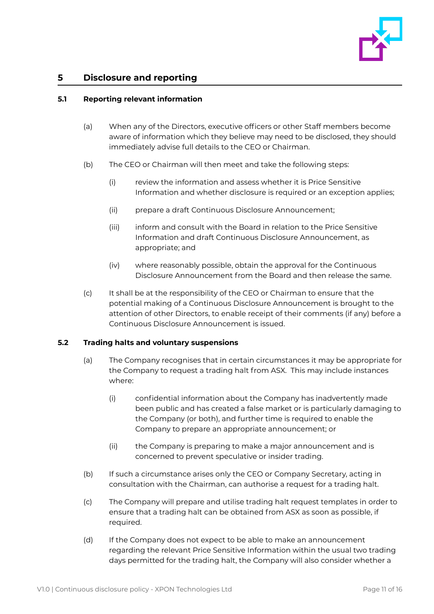

### <span id="page-10-0"></span>**5 Disclosure and reporting**

#### <span id="page-10-1"></span>**5.1 Reporting relevant information**

- (a) When any of the Directors, executive officers or other Staff members become aware of information which they believe may need to be disclosed, they should immediately advise full details to the CEO or Chairman.
- (b) The CEO or Chairman will then meet and take the following steps:
	- (i) review the information and assess whether it is Price Sensitive Information and whether disclosure is required or an exception applies;
	- (ii) prepare a draft Continuous Disclosure Announcement;
	- (iii) inform and consult with the Board in relation to the Price Sensitive Information and draft Continuous Disclosure Announcement, as appropriate; and
	- (iv) where reasonably possible, obtain the approval for the Continuous Disclosure Announcement from the Board and then release the same.
- (c) It shall be at the responsibility of the CEO or Chairman to ensure that the potential making of a Continuous Disclosure Announcement is brought to the attention of other Directors, to enable receipt of their comments (if any) before a Continuous Disclosure Announcement is issued.

#### <span id="page-10-2"></span>**5.2 Trading halts and voluntary suspensions**

- (a) The Company recognises that in certain circumstances it may be appropriate for the Company to request a trading halt from ASX. This may include instances where:
	- (i) confidential information about the Company has inadvertently made been public and has created a false market or is particularly damaging to the Company (or both), and further time is required to enable the Company to prepare an appropriate announcement; or
	- (ii) the Company is preparing to make a major announcement and is concerned to prevent speculative or insider trading.
- (b) If such a circumstance arises only the CEO or Company Secretary, acting in consultation with the Chairman, can authorise a request for a trading halt.
- (c) The Company will prepare and utilise trading halt request templates in order to ensure that a trading halt can be obtained from ASX as soon as possible, if required.
- (d) If the Company does not expect to be able to make an announcement regarding the relevant Price Sensitive Information within the usual two trading days permitted for the trading halt, the Company will also consider whether a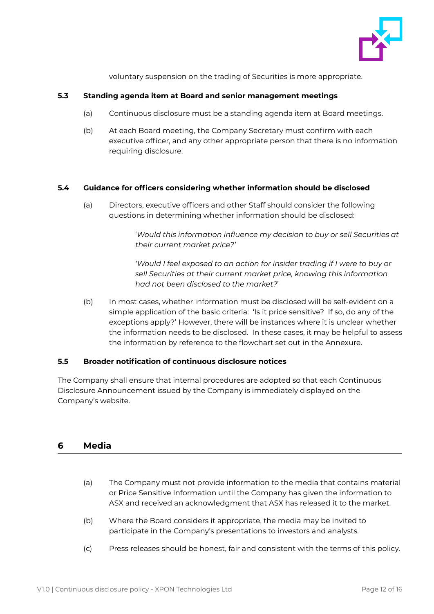

voluntary suspension on the trading of Securities is more appropriate.

#### <span id="page-11-0"></span>**5.3 Standing agenda item at Board and senior management meetings**

- (a) Continuous disclosure must be a standing agenda item at Board meetings.
- (b) At each Board meeting, the Company Secretary must confirm with each executive officer, and any other appropriate person that there is no information requiring disclosure.

#### <span id="page-11-1"></span>**5.4 Guidance for officers considering whether information should be disclosed**

(a) Directors, executive officers and other Staff should consider the following questions in determining whether information should be disclosed:

> '*Would this information influence my decision to buy or sell Securities at their current market price?'*

*'Would I feel exposed to an action for insider trading if I were to buy or sell Securities at their current market price, knowing this information had not been disclosed to the market?*'

(b) In most cases, whether information must be disclosed will be self-evident on a simple application of the basic criteria: 'Is it price sensitive? If so, do any of the exceptions apply?' However, there will be instances where it is unclear whether the information needs to be disclosed. In these cases, it may be helpful to assess the information by reference to the flowchart set out in the Annexure.

#### <span id="page-11-2"></span>**5.5 Broader notification of continuous disclosure notices**

The Company shall ensure that internal procedures are adopted so that each Continuous Disclosure Announcement issued by the Company is immediately displayed on the Company's website.

## <span id="page-11-3"></span>**6 Media**

- (a) The Company must not provide information to the media that contains material or Price Sensitive Information until the Company has given the information to ASX and received an acknowledgment that ASX has released it to the market.
- (b) Where the Board considers it appropriate, the media may be invited to participate in the Company's presentations to investors and analysts.
- (c) Press releases should be honest, fair and consistent with the terms of this policy.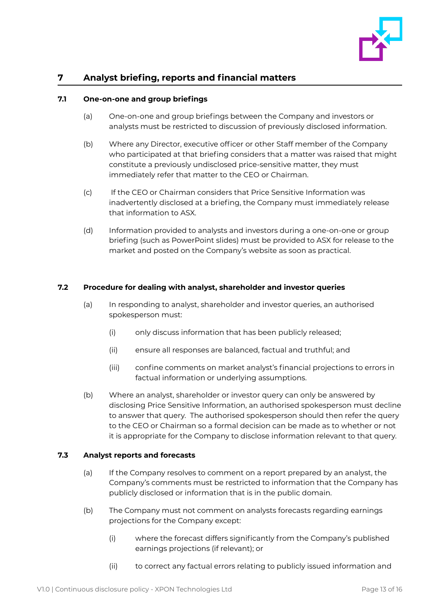

## <span id="page-12-0"></span>**7 Analyst briefing, reports and financial matters**

#### <span id="page-12-1"></span>**7.1 One-on-one and group briefings**

- (a) One-on-one and group briefings between the Company and investors or analysts must be restricted to discussion of previously disclosed information.
- (b) Where any Director, executive officer or other Staff member of the Company who participated at that briefing considers that a matter was raised that might constitute a previously undisclosed price-sensitive matter, they must immediately refer that matter to the CEO or Chairman.
- (c) If the CEO or Chairman considers that Price Sensitive Information was inadvertently disclosed at a briefing, the Company must immediately release that information to ASX.
- (d) Information provided to analysts and investors during a one-on-one or group briefing (such as PowerPoint slides) must be provided to ASX for release to the market and posted on the Company's website as soon as practical.

#### <span id="page-12-2"></span>**7.2 Procedure for dealing with analyst, shareholder and investor queries**

- (a) In responding to analyst, shareholder and investor queries, an authorised spokesperson must:
	- (i) only discuss information that has been publicly released;
	- (ii) ensure all responses are balanced, factual and truthful; and
	- (iii) confine comments on market analyst's financial projections to errors in factual information or underlying assumptions.
- (b) Where an analyst, shareholder or investor query can only be answered by disclosing Price Sensitive Information, an authorised spokesperson must decline to answer that query. The authorised spokesperson should then refer the query to the CEO or Chairman so a formal decision can be made as to whether or not it is appropriate for the Company to disclose information relevant to that query.

#### <span id="page-12-3"></span>**7.3 Analyst reports and forecasts**

- (a) If the Company resolves to comment on a report prepared by an analyst, the Company's comments must be restricted to information that the Company has publicly disclosed or information that is in the public domain.
- (b) The Company must not comment on analysts forecasts regarding earnings projections for the Company except:
	- (i) where the forecast differs significantly from the Company's published earnings projections (if relevant); or
	- (ii) to correct any factual errors relating to publicly issued information and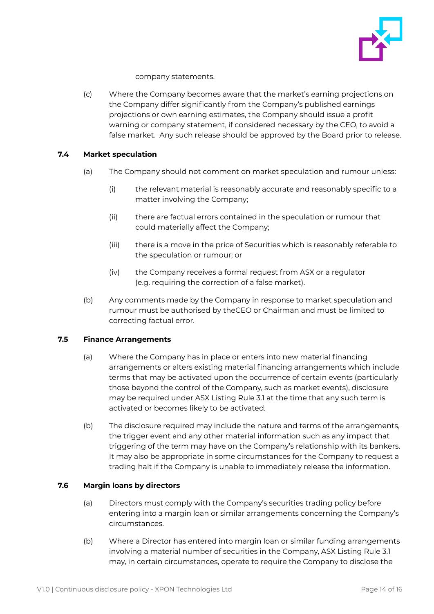

company statements.

(c) Where the Company becomes aware that the market's earning projections on the Company differ significantly from the Company's published earnings projections or own earning estimates, the Company should issue a profit warning or company statement, if considered necessary by the CEO, to avoid a false market. Any such release should be approved by the Board prior to release.

#### <span id="page-13-0"></span>**7.4 Market speculation**

- (a) The Company should not comment on market speculation and rumour unless:
	- (i) the relevant material is reasonably accurate and reasonably specific to a matter involving the Company;
	- (ii) there are factual errors contained in the speculation or rumour that could materially affect the Company;
	- (iii) there is a move in the price of Securities which is reasonably referable to the speculation or rumour; or
	- (iv) the Company receives a formal request from ASX or a regulator (e.g. requiring the correction of a false market).
- (b) Any comments made by the Company in response to market speculation and rumour must be authorised by theCEO or Chairman and must be limited to correcting factual error.

#### <span id="page-13-1"></span>**7.5 Finance Arrangements**

- (a) Where the Company has in place or enters into new material financing arrangements or alters existing material financing arrangements which include terms that may be activated upon the occurrence of certain events (particularly those beyond the control of the Company, such as market events), disclosure may be required under ASX Listing Rule 3.1 at the time that any such term is activated or becomes likely to be activated.
- (b) The disclosure required may include the nature and terms of the arrangements, the trigger event and any other material information such as any impact that triggering of the term may have on the Company's relationship with its bankers. It may also be appropriate in some circumstances for the Company to request a trading halt if the Company is unable to immediately release the information.

#### <span id="page-13-2"></span>**7.6 Margin loans by directors**

- (a) Directors must comply with the Company's securities trading policy before entering into a margin loan or similar arrangements concerning the Company's circumstances.
- (b) Where a Director has entered into margin loan or similar funding arrangements involving a material number of securities in the Company, ASX Listing Rule 3.1 may, in certain circumstances, operate to require the Company to disclose the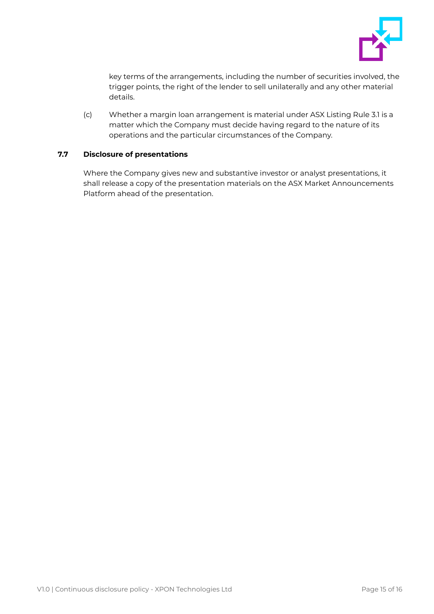

key terms of the arrangements, including the number of securities involved, the trigger points, the right of the lender to sell unilaterally and any other material details.

(c) Whether a margin loan arrangement is material under ASX Listing Rule 3.1 is a matter which the Company must decide having regard to the nature of its operations and the particular circumstances of the Company.

#### <span id="page-14-0"></span>**7.7 Disclosure of presentations**

Where the Company gives new and substantive investor or analyst presentations, it shall release a copy of the presentation materials on the ASX Market Announcements Platform ahead of the presentation.